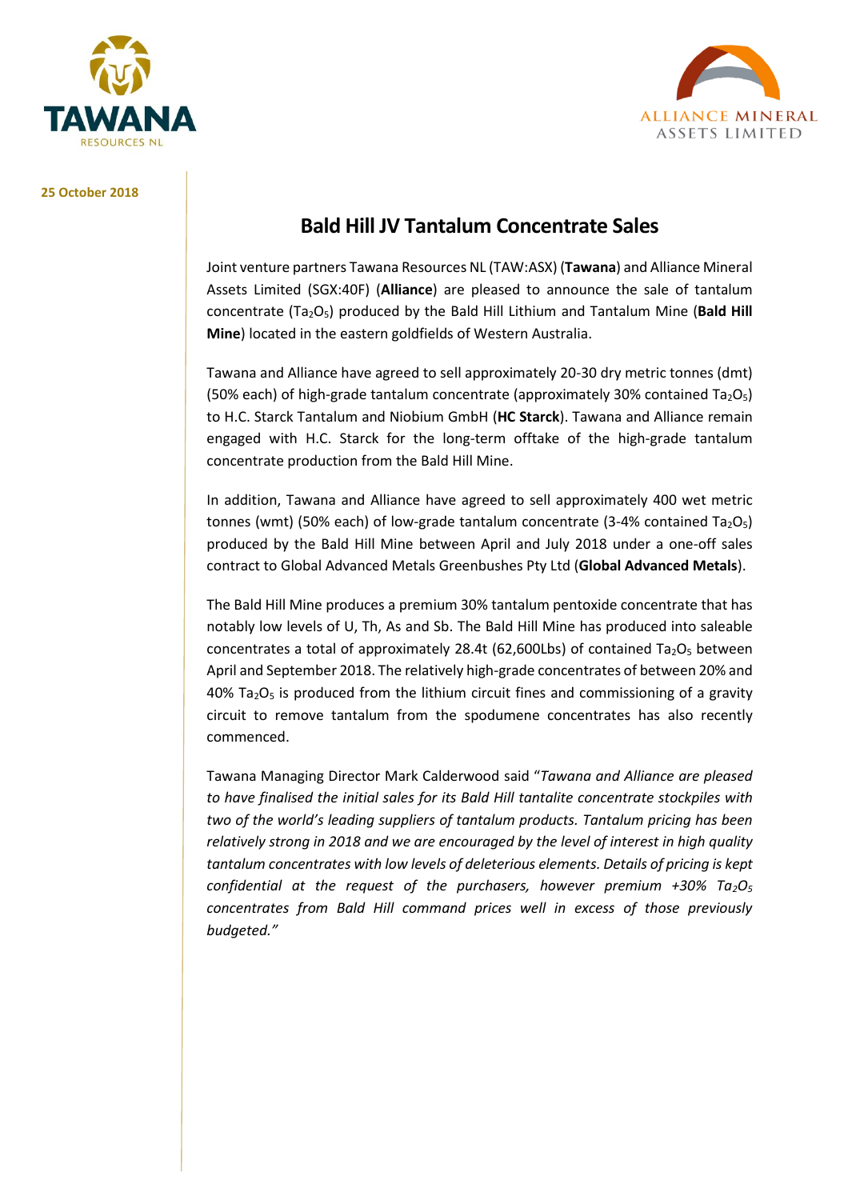



#### **25 October 2018**

# **Bald Hill JV Tantalum Concentrate Sales**

Joint venture partners Tawana Resources NL (TAW:ASX) (**Tawana**) and Alliance Mineral Assets Limited (SGX:40F) (**Alliance**) are pleased to announce the sale of tantalum concentrate (Ta2O5) produced by the Bald Hill Lithium and Tantalum Mine (**Bald Hill Mine**) located in the eastern goldfields of Western Australia.

Tawana and Alliance have agreed to sell approximately 20-30 dry metric tonnes (dmt) (50% each) of high-grade tantalum concentrate (approximately 30% contained Ta<sub>2</sub>O<sub>5</sub>) to H.C. Starck Tantalum and Niobium GmbH (**HC Starck**). Tawana and Alliance remain engaged with H.C. Starck for the long-term offtake of the high-grade tantalum concentrate production from the Bald Hill Mine.

In addition, Tawana and Alliance have agreed to sell approximately 400 wet metric tonnes (wmt) (50% each) of low-grade tantalum concentrate (3-4% contained Ta<sub>2</sub>O<sub>5</sub>) produced by the Bald Hill Mine between April and July 2018 under a one-off sales contract to Global Advanced Metals Greenbushes Pty Ltd (**Global Advanced Metals**).

The Bald Hill Mine produces a premium 30% tantalum pentoxide concentrate that has notably low levels of U, Th, As and Sb. The Bald Hill Mine has produced into saleable concentrates a total of approximately 28.4t (62,600Lbs) of contained  $Ta_2O_5$  between April and September 2018. The relatively high-grade concentrates of between 20% and  $40\%$  Ta<sub>2</sub>O<sub>5</sub> is produced from the lithium circuit fines and commissioning of a gravity circuit to remove tantalum from the spodumene concentrates has also recently commenced.

Tawana Managing Director Mark Calderwood said "*Tawana and Alliance are pleased to have finalised the initial sales for its Bald Hill tantalite concentrate stockpiles with two of the world's leading suppliers of tantalum products. Tantalum pricing has been relatively strong in 2018 and we are encouraged by the level of interest in high quality tantalum concentrates with low levels of deleterious elements. Details of pricing is kept confidential at the request of the purchasers, however premium +30% Ta2O<sup>5</sup> concentrates from Bald Hill command prices well in excess of those previously budgeted."*